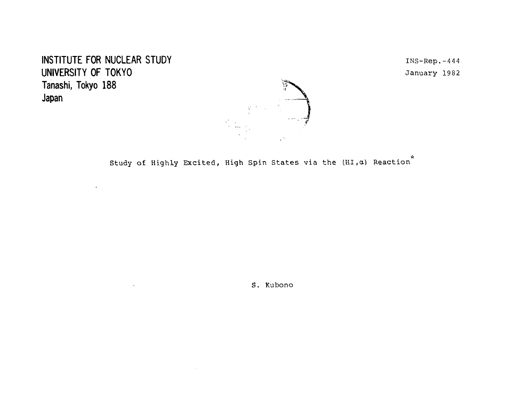INSTITUTE FOR NUCLEAR STUDY INSTITUTE FOR NUCLEAR STUDY UNIVERSITY OF TOKYO January 1982 **Tanashi, Tokyo 188 Japan**

 $\Box$ 

 $\alpha$ 

 $\sim 100$ 



Study of Highly Excited, High Spin States via the  $(HI, \alpha)$  Reaction<sup>\*</sup>

S. Kubono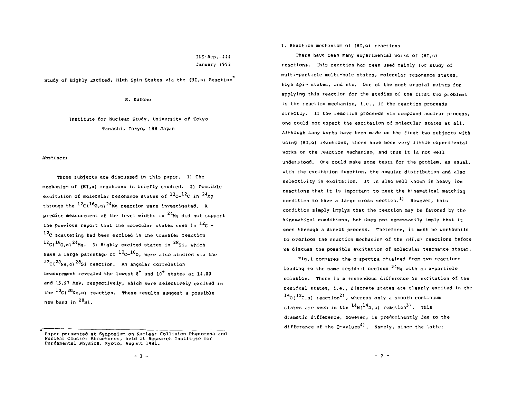# INS-Rep.-444 January 1982

Study of Highly Excited, High Spin States via the (HI,a) Reaction

S. Kubono

Institute for Nuclear Study, University of Tokyo Tanashi. Tokyo, 188 Japan

Abstract:

Three subjects are discussed in this paper. 1) The mechanism of (HI,a) reactions is briefly studied. 2) Possible excitation of molecular resonance states of  $^{12}$ C- $^{12}$ C in  $^{24}$ Mg through the  $^{12}C( ^{16}O, a)^{24}$ Mg reaction were investigated. A precise measurement of the level widths in  $^{24}$ Mg did not support the previous report that the molecular states seen in  $^{12}$ C +  $12<sub>C</sub>$  scattering had been excited in the transfer reaction <sup>12</sup>C(<sup>10</sup>O,a)<sup>24</sup>Mg. 3) Highly excited states in <sup>28</sup>Si, which have a large parentage of  $^{12}C^{-16}0$ , were also studied via the C(<sup>zu</sup>Ne,a)<sup>za</sup>Si reaction. An angular correlation measurement revealed the lowest  $8^+$  and  $10^+$  states at 14.00 and 15.9? MeV, respectively, which were selectively excited in the <sup>12</sup>C(<sup>20</sup>Ne,a) reaction. These results suggest a possible new band in <sup>28</sup>Si.

I. Reaction mechanism of (HI,a) reactions

There have been many experimental works of (HI,a) reactions. This reaction has been used mainly for study of multi-particle multi-hole states, molecular resonance states, high spi- states, and etc. One of the most crucial points for applying this reaction for the studies of the first two problems is the reaction mechanism, i.e., if the reaction proceeds directly. If the reaction proceeds via compound nuclear process, one could not expect the excitation of molecular states at all. Although many works have been made on the first two subjects with using (HI,a) reactions, there have been very little experimental works on the reaction mechanism, and thus it is not well understood. One could make some tests for the problem, as usual, with the excitation function, the angular distribution and also selectivity in excitation. It is also well known in heavy ion reactions that it is important to meet the kinematical matching condition to have a large cross section.<sup>1)</sup> However, this condition simply implys that the reaction may be favored by the kinematical cunditions, but does not necessarily imply that it goes through a direct process. Therefore, it must be worthwhile to overlook the reaction mechanism of the (HI,a) reactions before we discuss the possible excitation of molecular resonance states.

Fig.l compares the a-spectra obtained from two reactions leading to the same residual nucleus  $24$ Mg with an a-particle emission. There is a tremendous difference in excitation of the residual states, i.e., discrete states are clearly excited in the  $160(12)$ C,a) reaction<sup>2</sup>, whereas only a smooth continuum states are seen in the <sup>14</sup>N(<sup>14</sup>N,ɑ) reaction<sup>31</sup>. This dramatic difference, however, is predominantly jue to the difference of the  $Q$ -values<sup>4)</sup>. Namely, since the latter

Paper presented at Symposium on Nuclear Collision Phenomena and Nuclear Cluster Structures, held at Research Institute for Fundamental Physics, Kyoto, August 1981.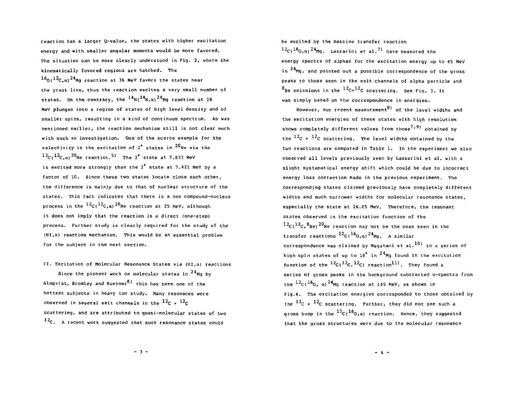reaction has a larger Q-value, the states with higher excitation energy and with smaller angular momenta would be more favored. The situation can be more clearly understood in Fig. 2, where the kineraatically fovored regions are hatched. The  $16$ <sup>O</sup> $(12$ C.a)<sup>24</sup>Ma reaction at 36 MeV favors the states near the yrast line, thus the reaction excites a very small number of states. On the contrary, the <sup>14</sup>N(<sup>14</sup>N,a)<sup>24</sup>Mg reaction at 28 MeV plunges into a region of states of high level density and of smaller spins, resulting in a kind of continuum spectrum. As was mentioned earlier, the reaction mechanism still is not clear much with such an investigation. One of the scarce example for the selectivity is the excitation of  $2^+$  states in  $^{20}$ Ne via the  $12c(12c,a)^{20}$  Ne reaction.<sup>5)</sup> The 2<sup>+</sup> state at 7.833 MeV is excited more strongly than the  $2^+$  state at 7.421 MeV by a factor of 10. Since these two states locate close each other, the difference is mainly due to that of nuclear structure of the states. This fact indicates that there is a non compound-nucleus process in the <sup>12</sup>C(<sup>12</sup>C,a)<sup>20</sup>Ne reaction at 25 MeV, although it does not imply that the reaction is a direct (one-step) process. Further study is clearly required for the study of the (HI,a) reaction mechanism. This would be an essential problem for the subject in the next section.

II. Excitation of Molecular Resonance States via (HI,a) reactions Since the pioneer work on molecular states in <sup>24</sup>Mg by Almqvist, Bromley and Kuehner<sup>6)</sup> this has been one of the hottest subjects in heavy ion study. Many resonaces were observed in several exit channels in the  $^{12}$ C +  $^{12}$ C scattering, and are attributed to quasi-molecular states of two  $12c$ . A recent work suggested that such resonance states could

be excited by the massive transfer reaction  $12c_116_0$ , a)<sup>24</sup> Mg. Lazzarini et al.<sup>7)</sup> have measured the energy spectra of alphas for the excitation energy up to 45 MeV in  $24$ Mg, and pointed out a possible correspondence of the gross peaks to those seen in the exit channels of alpha particle and Be emissions in the <sup>12</sup>C+<sup>12</sup>C scattering. See Fig. 3. It was simply based on the correspondence in energies.

However, our recent measurement<sup>8)</sup> of the level widths and the excitation energies of these states with high resolution shows completely different values from those''<sup>9)</sup> obtained by the  $^{12}$ C +  $^{12}$ C scattering. The level widths obtained by the two reactions are compared in Table 1. In the experiment we also observed all levels previously seen by Lazzarini et al. with a slight systematical energy shift which could be due to incorrect energy loss correction made in the previous experiment. The corresponding states claimed previously have completely different widths and much narrower widths for molecular resonance states, especially the state at 26.05 MeV. Therefore, the resonant states observed in the excitation function of the  $12c(12c,8_{\text{Be}})$  20 Ne reaction may not be the ones seen in the transfer reactions <sup>12</sup>C(<sup>16</sup>O,α)<sup>24</sup>Mg. A similar correspondence was claimed by Nagatani et al.<sup>10)</sup> to a series of high spin states of up to  $18<sup>+</sup>$  in  $24<sup>4</sup>$ Mg found in the excitation function of the  ${}^{12}$ C( ${}^{12}$ C, ${}^{12}$ C) reaction ${}^{11)}$ . They found a series of gross peaks in the background subtracted a-spectra from the  $^{12}$ C( $^{16}$ O, q) $^{24}$ Mq reaction at 145 MeV, as shown in Pig.4. The excitation energies corresponded to those obtained by the  $^{12}$ C +  $^{12}$ C scattering. Further, they did not see such a gross bump in the  $^{13}$ C( $^{16}$ O,g) reaction. Hence, they suggested that the gross structures were due to the molecular resonance

 $-3 -$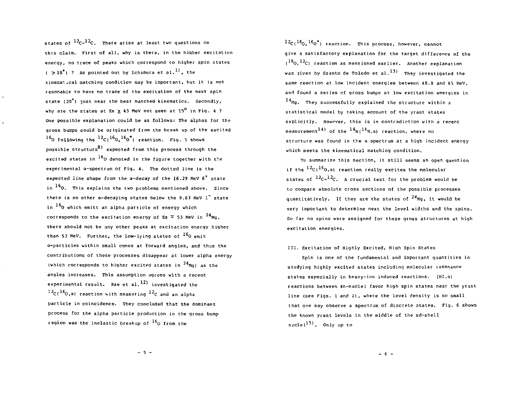states of <sup>12</sup>C-<sup>12</sup>C. There arise at least two questions or this claim. First of all, why is there, in the hiqher excitation energy, no trace of peaks which correspond to higher spin states  $($  > 18<sup>\*</sup>) ? As pointed out by Ichimura et al.<sup>11</sup>, the •tinena<sup>1</sup>-i.cal Hatching condition may be important, but it is not resonable to have no trace of the excitation of the next spin state  $(20<sup>†</sup>)$  just near the best matched kinematics. Secondly, why are the states at Ex > 43 MeV not seen at  $15^{\circ}$  in Fig. 4 ? One possible explanation could be as follows: The alphas for the gross bumps could be originated from the break up of the excited  $^{16}$ O following the  $^{12}$ C( $^{16}$ O, $^{16}$ O $^{\circ}$ ) reaction. Fig. 5 shows possible structurs $\frac{8}{2}$  expected from this process through the excited states in  $^{16}$ O denoted in the figure together with the experimental a-spectrum of Fig. 4. The dotted line is the expected line shape from the  $a$ -decay of the 16.29 MeV  $6^+$  state in  $^{16}$ O. This explains the two problems mentioned above. Since there is no other a-decaying states below the 9.63 MeV 1<sup>\*</sup> state in  $^{16}$ O which emitt an alpha particle of energy which corresponds to the excitation energy of Ex  $\approx$  53 MeV in  $^{24}$ Mg, there should not be any other peaks at excitation energy higher than 53 MeV. Further, the low-lying states of <sup>16</sup>0 emit a-particles within small cones at forward angles, and thus the contributions of these processes disappear at lower alpha energy (which corresponds to higher excited states in  $^{24}$ Mg) as the angles increases. This assumption agrees with a recent experimental result. Rae et al.  $^{12)}$  investigated the  $^{12}C(^{16}O, \alpha)$  reaction with measuring  $^{12}C$  and an alpha particle in coincidence. They concluded that the dominant process for the alpha particle production in the gross bump region was the inelastic breakup of <sup>16</sup>O from the

 $12c(^{16}o,16o^*)$  reaction. This process, however, cannot give a satisfactory explanation for the target difference of the  $(1^{\text{16}}0, 1^{\text{2}}c)$  reaction as mentioned earlier. Another explanation was given by Szanto de Toledo et al.  $^{13)}$  They investigated the same reaction at low incident energies between 48.8 and 65 MeV, and found a series of gross bumps at low excitation energies in  $24$ Mg. They successfully explained the structure within a statistical model by taking account of the yrast states explicitly. Howpver, this is in contradiction with a recent measurement<sup>14)</sup> of the  $^{14}$ N( $^{14}$ N, a) reaction, where no structure was found in the a spectrum at a high incident energy which meets the kinematical matching condition.

To summarize this section, it still seems an open question if the <sup>12</sup>C(<sup>10</sup>O,a) reaction really excites the molecular states of  $^{12}$ C- $^{12}$ C. A crucial test for the problem would be to compare absolute cross sections of the possible processes quantitatively. If they are the states of <sup>24</sup>Mg, it would be very important to determine next the level widths and the spins. So far no spins were assigned for these gross structures at high excitation energies.

## III. Excitation of Highly Excited, High Spin States

Spin is one of the fundamental and important quantities in studying highly excited states including molecular resonance states especially in heavy-ion induced reactions. (HI,a) reactions between 4n-nuclei favor high spin states near the yrast line (see Figs. 1 and 2), where the level density is so small that one may observe a spectrum of discrete states. Fig. 6 shows the known yrast levels in the middle of the sd-shell  $nuclei<sup>15</sup>$ . Only up to

 $-5 -$ 

 $-6 -$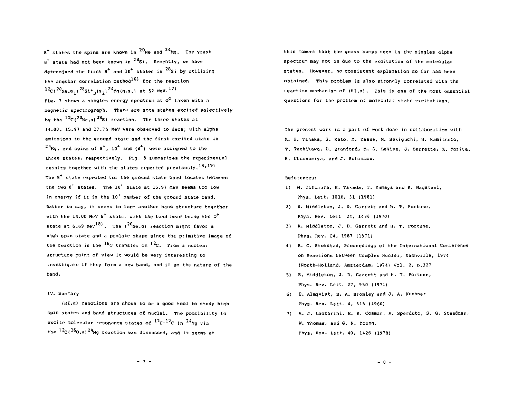$8^*$  states the spins are known in  $20_{\text{Ne}}$  and  $24_{\text{Mg}}$ . The yrast  $8^+$  state had not been known in  $28$ Si. Recently, we have determined the first  $s^+$  and  $10^+$  states in  $^{28}$ Si by utilizing the angular correlation method<sup>16)</sup> for the reaction  $^{12}$ C(<sup>20</sup>Sie.a<sub>1</sub>)<sup>28</sup>Si\*<sub>1</sub>(a<sub>2</sub>)<sup>24</sup>Mg(g.s.) at 52 MeV.<sup>177</sup> Fig. 7 shows a singles energy spectrum at O<sup>O</sup> taken with a magnetic spectrograph. There are some states excited selectively by the <sup>12</sup>C(<sup>20</sup>Ne,a)<sup>28</sup>Si reaction. The three states at 14.00, 15.97 and 17.75 MeV were observed to deca;, with alpha emissions to the ground state and the first excited state in  $^{24}$ Mg, and spins of 8<sup>+</sup>, 10<sup>+</sup> and (8<sup>+</sup>) were assigned to the three states, respectively. Fig. 8 summarizes the experimental results together with the states reported previously,  $^{18}$ ,  $^{19}$ ) The  $8<sup>+</sup>$  state expected for the ground state band locates between the two 8\* states. The 10\* state at 15.97 MeV seems too low in energy if it is the  $10^+$  member of the ground state band. Rather to say, it seems to form another band structure together with the 14.00 MeV  $s^+$  state, with the band head being the  $0^+$ state at 6.69 MeV<sup>18)</sup>. The (<sup>20</sup>Ne, a) reaction might favor a high spin state and a prolate shape since the primitive image of the reaction is the <sup>16</sup>O transfer on <sup>12</sup>C. From a nuclea structure point of view it would be very interesting to investigate if they form a new band, and if so the nature of the band.

#### IV. Summary

{HI,a) reactions are shown to be a good tool to study high spin states and band structures of nuclei. The possibility to excite molecular resonance states of <sup>12</sup>C-<sup>12</sup>C in <sup>24</sup>Mg vi the  $^{12}$ C( $^{16}$ O,a)<sup>24</sup>Mg reaction was discussed, and it seems at

this moment that the gross bumps seen in the singles alpha spectrum may not be due to the excitation of the molecular states. However, no consistent explanation so fur has been obtained. This problem is also strongly correlated with the  $i$  reaction mechanism of  $(H1, \alpha)$ . This is one of the most essential questions for the problem of molecular state excitations.

The present work is a part of work done in collaboration with M. H. Tanaka, S. Kato, M. Yasue, M. Sekiguchi, H. Kamitsubo, T. Tachikawa, D. Branford, M. J. LeVine, J. Barrette, K. Morita, H. Utsunomiya, and J. Schimizu.

## References:

- 1) M. Ichimura, E. Takada, T. Yamaya and K. Nagatani, Phys. Lett. 101B, 31 (1981)
- 2) R. Middleton, J. D. Garrett and H. T. Fortune, Phys. Rev. Lett 24, 1436 (1970]
- 3) R. Middleton, J. D. Garrett and H. T. Fortune, Phys. Rev. C4, 1987 (1971)
- 4) R. G. Stokstad, Proceedings of the International Conference on Reactions between Complex Nuclei, Nashville, 1974 (North-Holland, Amsterdam, 1974) Vol. 2, p.327
- 5) R. Middleton, J. D. Garrett and H. T. Fortune, Phys. Rev. Lett. 27, 950 (1971)
- 6) E. Almqvist, B. A. Bromley and J. A. Kuehner Phys. Rev. Lett. 4, 515 (1960)
- 7) A. J. Lazzarini, E. R. Cosman, A. Sperduto, S. G. Steadman, W. Thomas, and G. R. Young, Phys. Rev. Lett. 40, 1426 (1978)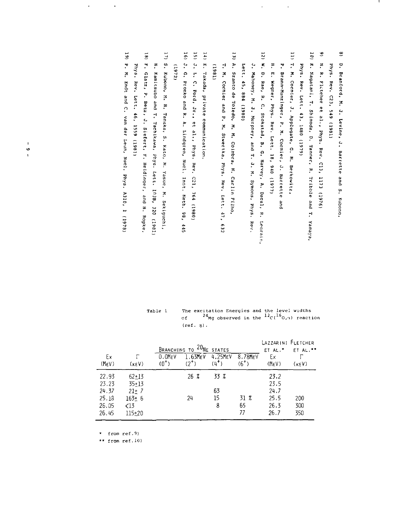| e               | à.<br>Branford, M.<br>$\ddot{\cdot}$<br>Levine, J.<br>Barrette<br>gnd<br>ŗ.<br>kubono.              |
|-----------------|-----------------------------------------------------------------------------------------------------|
|                 | Phys. Rev. C23, 549 (1981)                                                                          |
| ಀ               | ř<br>ŗ<br>Fletcher et al., Phys.<br>Rev. C13, 1173 (1976)                                           |
| 10T             | ř<br>Nagatani, T.<br>Shimoda, D. Tanner, R.<br>Tribble<br>and<br>H,<br>Yamaya,                      |
|                 | Phys.<br>Rev.<br>Lett.<br>43.1480<br>(6461)                                                         |
| $\overline{11}$ | T. M. Cornier, J. Applegate, G. M. Berkowitz,                                                       |
|                 | 7<br>Brann-Munzinger, P. M. Cormier, J. Barrette<br>an<br>B                                         |
|                 | ŗ<br>ŗ<br>Wegner,<br><b>Phys.</b><br>Rev. Lett.<br>18, 940 (1977)                                   |
| $\overline{5}$  | ŗ.<br>à<br>Rae,<br>ŗ<br>$\mathbf{c}$<br>Stokstad, B. G. Harvey, A. Dacal,<br>$\ddot{z}$<br>Leqrain, |
|                 | $\ddot{\cdot}$<br>Mahoney, M. J. Murphey, and T. J. M. Symons, Phys.<br>Rev.                        |
|                 | Lett.<br>45,<br>10861) +88                                                                          |
| $\tilde{u}$     | ŗ<br>Szanto<br>ę<br>Toledo,<br>×<br>M. Coimbra, N.<br>Carlin<br>Filho,                              |
|                 | H,<br>M. Cormier and<br>ŗ<br>×<br>Stwertka, Phys. Rev.<br>Lett.<br>47.<br>259                       |
|                 | (1861)                                                                                              |
| $\overline{1}$  | 'n,<br>Takada, private<br>communication.                                                            |
| $\overline{5}$  | $\ddot{ }$<br>ŗ<br>C. Ford, Jr.,<br>et al., Phys. Rev.<br>$c_{21}$ .<br>164<br>(0861)               |
| $\frac{16}{2}$  | .<br>۲.<br>Pronko and<br>ŗ<br>ŗ<br>Lindgren,<br>Nucl.<br>Inst. Neth.<br>,86<br>445                  |
|                 | (1972)                                                                                              |
| 17)             | S. Kubono, M.<br>F.<br>Tanaka, S.<br>Kato, M.<br>Yasue, M.<br>Sekiguchi.                            |
|                 | ፣<br>Kamicsubo<br>pue<br>T. Tachikawa,<br>Phys.<br>Lett. 103B,<br>320<br>(1961)                     |
| $\overline{18}$ | r,<br>clatz,<br>.,<br>Betz, J. Siefert,<br>$\ddot{ }$<br>Heidinger, and<br>H. Ropke,                |
|                 | <b>Phys.</b><br>Rev. Lett.<br>$-46.1550119811$                                                      |

 $\frac{1}{2}$ 

 $\mathcal{L}^{\text{max}}_{\text{max}}$ 

| Table l | The excitation Energies and the level widths                                  |
|---------|-------------------------------------------------------------------------------|
|         | of $24_{\text{Mq}}$ observed in the $12_{\text{C}}(16_{\text{O},1})$ reaction |
|         | $(ref. 8)$ .                                                                  |

|                      | <sup>20</sup> NE STATES<br>BRANCHING TO |                      |                            |                    |                      |                          | LAZZARINI FLETCHER<br>ET AL."* |
|----------------------|-----------------------------------------|----------------------|----------------------------|--------------------|----------------------|--------------------------|--------------------------------|
| Ex<br>$(M_{\rm E}V)$ | (kEV)                                   | $0.0$ MFV<br>$(0^+)$ | $1.63$ M $EV$<br>$(2^{+})$ | 4.25MEV<br>$(4^+)$ | 8.78MEV<br>$(6^{+})$ | Еx<br>(M <sub>E</sub> V) | $(\kappa_F V)$                 |
| 22.93                | $62 + 13$                               |                      | $26 \, 2$                  | 33 %               |                      | 23.2                     |                                |
| 23.23                | $35 + 13$                               |                      |                            |                    |                      | 23.5                     |                                |
| 24.37                | $21+7$                                  |                      |                            | 63                 |                      | 24.7                     |                                |
| 25.18                | $163 + 6$                               |                      | 24                         | 15                 | 31 Z                 | 25.5                     | 200                            |
| 26.05                | $\triangleleft$ 13                      |                      |                            | 8                  | 65                   | 26.3                     | 300                            |
| 26 45                | $115 + 20$                              |                      |                            |                    | 77                   | 26.7                     | 350                            |

\* from ref.9)

 $\mathcal{L}^{\text{max}}$ 

 $\ddot{\phantom{0}}$ 

\*\* from ref.10)

 $\frac{1}{6}$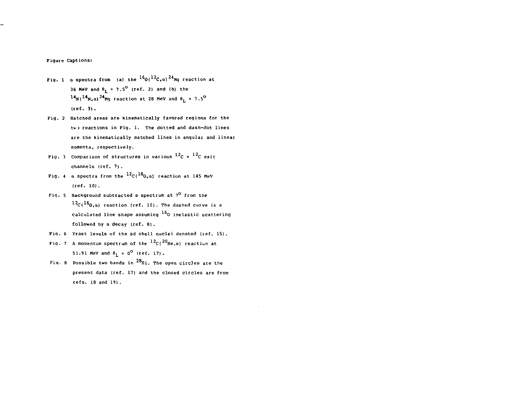## Figure Captions:

- Fig. 1  $\alpha$  spectra from (a) the  $^{16}$ O( $^{12}$ C, $\alpha$ ) $^{24}$ Mg reaction at 36 MeV and  $\theta_L = 7.5^{\circ}$  (ref. 2) and (b) the  $14_{N}$ ( $14_{N,a}$ )  $24_{Mg}$  reaction at 28 MeV and  $\theta_L = 7.5^{\circ}$ (ref. 3) .
- Fig. 2 Hatched areas are kinematically favored regions for the two reactions in Fig. 1. The dotted and dash-dot lines are the kinematically matched lines in angular and linear momenta, respectively.
- Fig. 3 Comparison of structures in various  $^{12}C + ^{12}C$  exit channels (ref. 7) .
- Fig. 4  $\,$  a spectra from the  $^{12}$ C( $^{16}$ O, $\,$ a) reaction at 145 MeV (ref. 10).
- Fig. 5 Background subtracted a spectrum at  $7^{\circ}$  from the  $^{12}$ C( $^{16}$ O.a) reaction (ref. 10). The dashed curve is a calculated line shape assuming <sup>16</sup> 0 inelastic scattering followed by a decay (ref. 8) .
- Fiq. 6 Yrast levels of the sd shell nuclei denoted (ref. 15).
- Fig. 7  $\,$  A momentum spectrum of the  $^{12}$ C( $^{20}$ Ne, $\,$ a) reaction at 51.91 MeV and  $\theta_L = 0^{\circ}$  (ref. 17).
- Fig. 8 Possible two bands in  $^{28}$ Si. The open circles are the Fiq. 8 Possible two bands in <sup>u</sup> Si. The open circles are the  $refs. 18 and 19$ .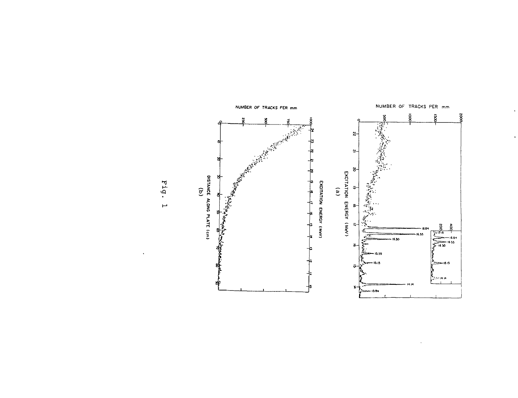

 $\bullet$ 

Fig.  $\overline{\phantom{a}}$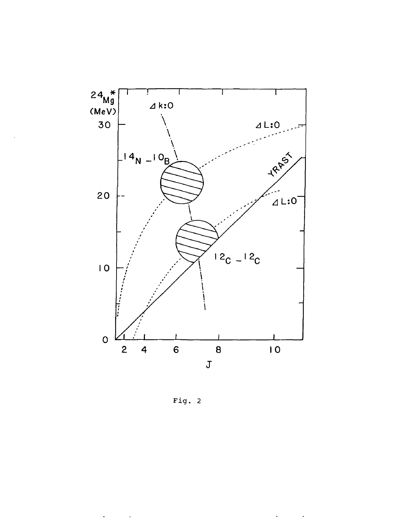

Fig. 2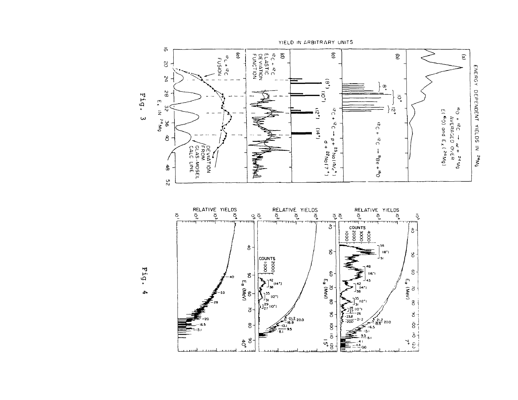

 $-238$ -212

ະຈິ!<br>ະຂາຍ ທ່າ

<u>. . . . . . . . .</u>

 $\mathsf{g}$ 

 $\frac{6}{9}$  or

اسست

 $-200$ 

 $\frac{2}{16.5}$  200

أدفاء  $\frac{9.5}{9.1}$  8.1

لسيتحدث

سيبدء

 $-41$  $\mathbf{F} = \frac{14}{100}$ للسبرين

 $\frac{8}{3}$ <br> $\frac{1}{4}$ 

 $\frac{1}{\sqrt{2}}$ 

ستنب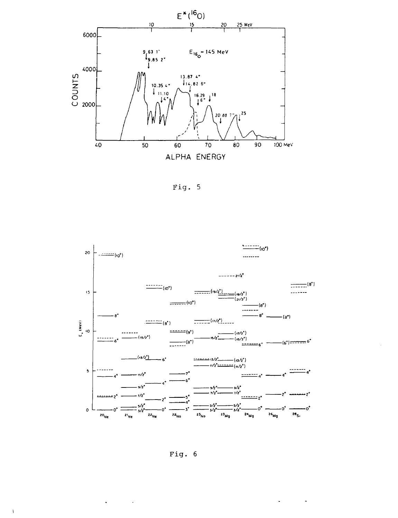

Fig. 5





 $\mathbf{u} = \mathbf{u} \times \mathbf{u}$  ,  $\mathbf{u} = \mathbf{u}$ 

 $\Delta \phi = 0.01$  and  $\Delta \phi$ 

 $\bar{V}$